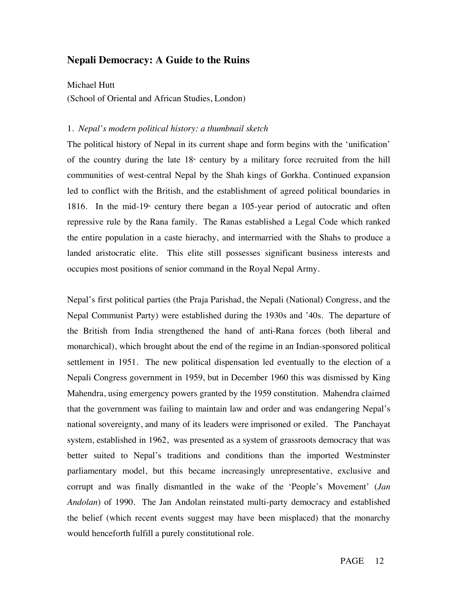# **Nepali Democracy: A Guide to the Ruins**

Michael Hutt

(School of Oriental and African Studies, London)

#### 1. *Nepal's modern political history: a thumbnail sketch*

The political history of Nepal in its current shape and form begins with the 'unification' of the country during the late  $18<sup>*</sup>$  century by a military force recruited from the hill communities of west-central Nepal by the Shah kings of Gorkha. Continued expansion led to conflict with the British, and the establishment of agreed political boundaries in 1816. In the mid-19<sup>th</sup> century there began a 105-year period of autocratic and often repressive rule by the Rana family. The Ranas established a Legal Code which ranked the entire population in a caste hierachy, and intermarried with the Shahs to produce a landed aristocratic elite. This elite still possesses significant business interests and occupies most positions of senior command in the Royal Nepal Army.

Nepal's first political parties (the Praja Parishad, the Nepali (National) Congress, and the Nepal Communist Party) were established during the 1930s and '40s. The departure of the British from India strengthened the hand of anti-Rana forces (both liberal and monarchical), which brought about the end of the regime in an Indian-sponsored political settlement in 1951. The new political dispensation led eventually to the election of a Nepali Congress government in 1959, but in December 1960 this was dismissed by King Mahendra, using emergency powers granted by the 1959 constitution. Mahendra claimed that the government was failing to maintain law and order and was endangering Nepal's national sovereignty, and many of its leaders were imprisoned or exiled. The Panchayat system, established in 1962, was presented as a system of grassroots democracy that was better suited to Nepal's traditions and conditions than the imported Westminster parliamentary model, but this became increasingly unrepresentative, exclusive and corrupt and was finally dismantled in the wake of the 'People's Movement' (*Jan Andolan*) of 1990. The Jan Andolan reinstated multi-party democracy and established the belief (which recent events suggest may have been misplaced) that the monarchy would henceforth fulfill a purely constitutional role.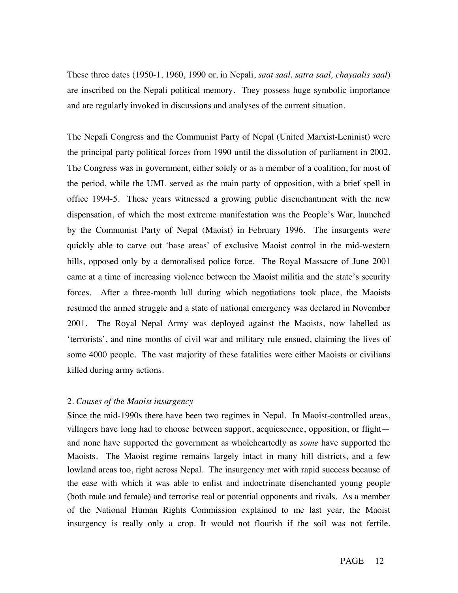These three dates (1950-1, 1960, 1990 or, in Nepali, *saat saal, satra saal, chayaalis saal*) are inscribed on the Nepali political memory. They possess huge symbolic importance and are regularly invoked in discussions and analyses of the current situation.

The Nepali Congress and the Communist Party of Nepal (United Marxist-Leninist) were the principal party political forces from 1990 until the dissolution of parliament in 2002. The Congress was in government, either solely or as a member of a coalition, for most of the period, while the UML served as the main party of opposition, with a brief spell in office 1994-5. These years witnessed a growing public disenchantment with the new dispensation, of which the most extreme manifestation was the People's War, launched by the Communist Party of Nepal (Maoist) in February 1996. The insurgents were quickly able to carve out 'base areas' of exclusive Maoist control in the mid-western hills, opposed only by a demoralised police force. The Royal Massacre of June 2001 came at a time of increasing violence between the Maoist militia and the state's security forces. After a three-month lull during which negotiations took place, the Maoists resumed the armed struggle and a state of national emergency was declared in November 2001. The Royal Nepal Army was deployed against the Maoists, now labelled as 'terrorists', and nine months of civil war and military rule ensued, claiming the lives of some 4000 people. The vast majority of these fatalities were either Maoists or civilians killed during army actions.

#### 2. *Causes of the Maoist insurgency*

Since the mid-1990s there have been two regimes in Nepal. In Maoist-controlled areas, villagers have long had to choose between support, acquiescence, opposition, or flight and none have supported the government as wholeheartedly as *some* have supported the Maoists. The Maoist regime remains largely intact in many hill districts, and a few lowland areas too, right across Nepal. The insurgency met with rapid success because of the ease with which it was able to enlist and indoctrinate disenchanted young people (both male and female) and terrorise real or potential opponents and rivals. As a member of the National Human Rights Commission explained to me last year, the Maoist insurgency is really only a crop. It would not flourish if the soil was not fertile.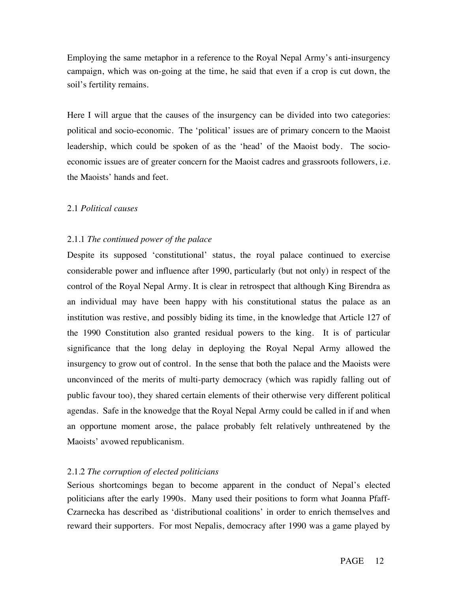Employing the same metaphor in a reference to the Royal Nepal Army's anti-insurgency campaign, which was on-going at the time, he said that even if a crop is cut down, the soil's fertility remains.

Here I will argue that the causes of the insurgency can be divided into two categories: political and socio-economic. The 'political' issues are of primary concern to the Maoist leadership, which could be spoken of as the 'head' of the Maoist body. The socioeconomic issues are of greater concern for the Maoist cadres and grassroots followers, i.e. the Maoists' hands and feet.

#### 2.1 *Political causes*

### 2.1.1 *The continued power of the palace*

Despite its supposed 'constitutional' status, the royal palace continued to exercise considerable power and influence after 1990, particularly (but not only) in respect of the control of the Royal Nepal Army. It is clear in retrospect that although King Birendra as an individual may have been happy with his constitutional status the palace as an institution was restive, and possibly biding its time, in the knowledge that Article 127 of the 1990 Constitution also granted residual powers to the king. It is of particular significance that the long delay in deploying the Royal Nepal Army allowed the insurgency to grow out of control. In the sense that both the palace and the Maoists were unconvinced of the merits of multi-party democracy (which was rapidly falling out of public favour too), they shared certain elements of their otherwise very different political agendas. Safe in the knowedge that the Royal Nepal Army could be called in if and when an opportune moment arose, the palace probably felt relatively unthreatened by the Maoists' avowed republicanism.

#### 2.1.2 *The corruption of elected politicians*

Serious shortcomings began to become apparent in the conduct of Nepal's elected politicians after the early 1990s. Many used their positions to form what Joanna Pfaff-Czarnecka has described as 'distributional coalitions' in order to enrich themselves and reward their supporters. For most Nepalis, democracy after 1990 was a game played by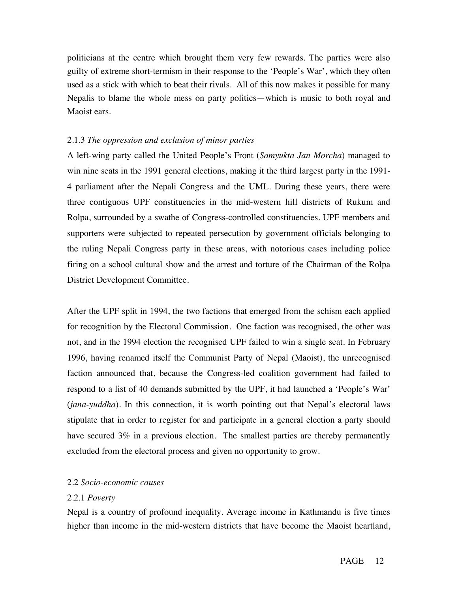politicians at the centre which brought them very few rewards. The parties were also guilty of extreme short-termism in their response to the 'People's War', which they often used as a stick with which to beat their rivals. All of this now makes it possible for many Nepalis to blame the whole mess on party politics—which is music to both royal and Maoist ears.

## 2.1.3 *The oppression and exclusion of minor parties*

A left-wing party called the United People's Front (*Samyukta Jan Morcha*) managed to win nine seats in the 1991 general elections, making it the third largest party in the 1991- 4 parliament after the Nepali Congress and the UML. During these years, there were three contiguous UPF constituencies in the mid-western hill districts of Rukum and Rolpa, surrounded by a swathe of Congress-controlled constituencies. UPF members and supporters were subjected to repeated persecution by government officials belonging to the ruling Nepali Congress party in these areas, with notorious cases including police firing on a school cultural show and the arrest and torture of the Chairman of the Rolpa District Development Committee.

After the UPF split in 1994, the two factions that emerged from the schism each applied for recognition by the Electoral Commission. One faction was recognised, the other was not, and in the 1994 election the recognised UPF failed to win a single seat. In February 1996, having renamed itself the Communist Party of Nepal (Maoist), the unrecognised faction announced that, because the Congress-led coalition government had failed to respond to a list of 40 demands submitted by the UPF, it had launched a 'People's War' (*jana-yuddha*). In this connection, it is worth pointing out that Nepal's electoral laws stipulate that in order to register for and participate in a general election a party should have secured 3% in a previous election. The smallest parties are thereby permanently excluded from the electoral process and given no opportunity to grow.

## 2.2 *Socio-economic causes*

## 2.2.1 *Poverty*

Nepal is a country of profound inequality. Average income in Kathmandu is five times higher than income in the mid-western districts that have become the Maoist heartland,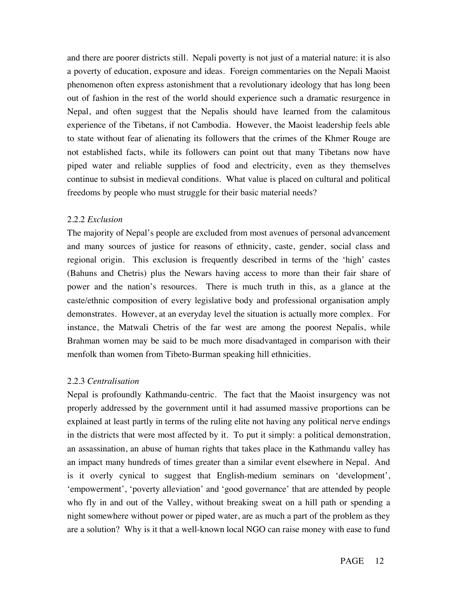and there are poorer districts still. Nepali poverty is not just of a material nature: it is also a poverty of education, exposure and ideas. Foreign commentaries on the Nepali Maoist phenomenon often express astonishment that a revolutionary ideology that has long been out of fashion in the rest of the world should experience such a dramatic resurgence in Nepal, and often suggest that the Nepalis should have learned from the calamitous experience of the Tibetans, if not Cambodia. However, the Maoist leadership feels able to state without fear of alienating its followers that the crimes of the Khmer Rouge are not established facts, while its followers can point out that many Tibetans now have piped water and reliable supplies of food and electricity, even as they themselves continue to subsist in medieval conditions. What value is placed on cultural and political freedoms by people who must struggle for their basic material needs?

## 2.2.2 *Exclusion*

The majority of Nepal's people are excluded from most avenues of personal advancement and many sources of justice for reasons of ethnicity, caste, gender, social class and regional origin. This exclusion is frequently described in terms of the 'high' castes (Bahuns and Chetris) plus the Newars having access to more than their fair share of power and the nation's resources. There is much truth in this, as a glance at the caste/ethnic composition of every legislative body and professional organisation amply demonstrates. However, at an everyday level the situation is actually more complex. For instance, the Matwali Chetris of the far west are among the poorest Nepalis, while Brahman women may be said to be much more disadvantaged in comparison with their menfolk than women from Tibeto-Burman speaking hill ethnicities.

## 2.2.3 *Centralisation*

Nepal is profoundly Kathmandu-centric. The fact that the Maoist insurgency was not properly addressed by the government until it had assumed massive proportions can be explained at least partly in terms of the ruling elite not having any political nerve endings in the districts that were most affected by it. To put it simply: a political demonstration, an assassination, an abuse of human rights that takes place in the Kathmandu valley has an impact many hundreds of times greater than a similar event elsewhere in Nepal. And is it overly cynical to suggest that English-medium seminars on 'development', 'empowerment', 'poverty alleviation' and 'good governance' that are attended by people who fly in and out of the Valley, without breaking sweat on a hill path or spending a night somewhere without power or piped water, are as much a part of the problem as they are a solution? Why is it that a well-known local NGO can raise money with ease to fund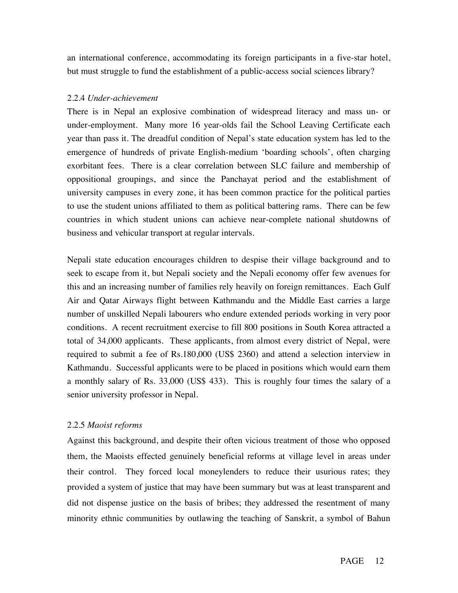an international conference, accommodating its foreign participants in a five-star hotel, but must struggle to fund the establishment of a public-access social sciences library?

# 2.2.4 *Under-achievement*

There is in Nepal an explosive combination of widespread literacy and mass un- or under-employment. Many more 16 year-olds fail the School Leaving Certificate each year than pass it. The dreadful condition of Nepal's state education system has led to the emergence of hundreds of private English-medium 'boarding schools', often charging exorbitant fees. There is a clear correlation between SLC failure and membership of oppositional groupings, and since the Panchayat period and the establishment of university campuses in every zone, it has been common practice for the political parties to use the student unions affiliated to them as political battering rams. There can be few countries in which student unions can achieve near-complete national shutdowns of business and vehicular transport at regular intervals.

Nepali state education encourages children to despise their village background and to seek to escape from it, but Nepali society and the Nepali economy offer few avenues for this and an increasing number of families rely heavily on foreign remittances. Each Gulf Air and Qatar Airways flight between Kathmandu and the Middle East carries a large number of unskilled Nepali labourers who endure extended periods working in very poor conditions. A recent recruitment exercise to fill 800 positions in South Korea attracted a total of 34,000 applicants. These applicants, from almost every district of Nepal, were required to submit a fee of Rs.180,000 (US\$ 2360) and attend a selection interview in Kathmandu. Successful applicants were to be placed in positions which would earn them a monthly salary of Rs. 33,000 (US\$ 433). This is roughly four times the salary of a senior university professor in Nepal.

# 2.2.5 *Maoist reforms*

Against this background, and despite their often vicious treatment of those who opposed them, the Maoists effected genuinely beneficial reforms at village level in areas under their control. They forced local moneylenders to reduce their usurious rates; they provided a system of justice that may have been summary but was at least transparent and did not dispense justice on the basis of bribes; they addressed the resentment of many minority ethnic communities by outlawing the teaching of Sanskrit, a symbol of Bahun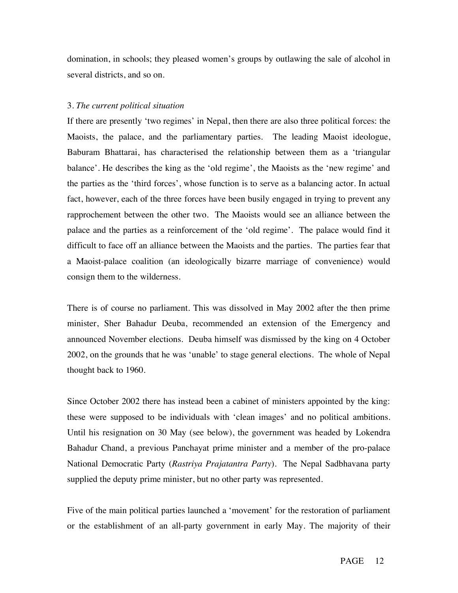domination, in schools; they pleased women's groups by outlawing the sale of alcohol in several districts, and so on.

## 3. *The current political situation*

If there are presently 'two regimes' in Nepal, then there are also three political forces: the Maoists, the palace, and the parliamentary parties. The leading Maoist ideologue, Baburam Bhattarai, has characterised the relationship between them as a 'triangular balance'. He describes the king as the 'old regime', the Maoists as the 'new regime' and the parties as the 'third forces', whose function is to serve as a balancing actor. In actual fact, however, each of the three forces have been busily engaged in trying to prevent any rapprochement between the other two. The Maoists would see an alliance between the palace and the parties as a reinforcement of the 'old regime'. The palace would find it difficult to face off an alliance between the Maoists and the parties. The parties fear that a Maoist-palace coalition (an ideologically bizarre marriage of convenience) would consign them to the wilderness.

There is of course no parliament. This was dissolved in May 2002 after the then prime minister, Sher Bahadur Deuba, recommended an extension of the Emergency and announced November elections. Deuba himself was dismissed by the king on 4 October 2002, on the grounds that he was 'unable' to stage general elections. The whole of Nepal thought back to 1960.

Since October 2002 there has instead been a cabinet of ministers appointed by the king: these were supposed to be individuals with 'clean images' and no political ambitions. Until his resignation on 30 May (see below), the government was headed by Lokendra Bahadur Chand, a previous Panchayat prime minister and a member of the pro-palace National Democratic Party (*Rastriya Prajatantra Party*). The Nepal Sadbhavana party supplied the deputy prime minister, but no other party was represented.

Five of the main political parties launched a 'movement' for the restoration of parliament or the establishment of an all-party government in early May. The majority of their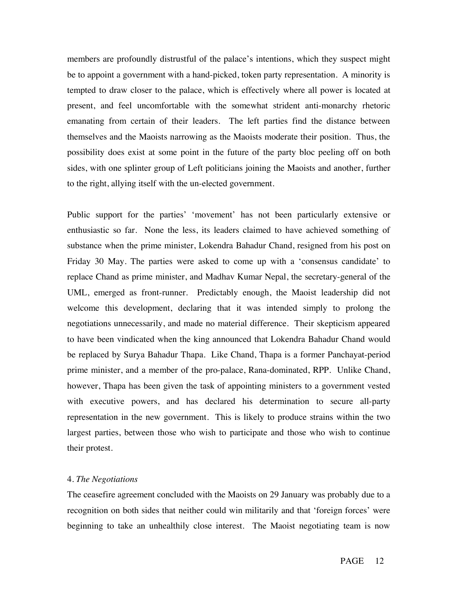members are profoundly distrustful of the palace's intentions, which they suspect might be to appoint a government with a hand-picked, token party representation. A minority is tempted to draw closer to the palace, which is effectively where all power is located at present, and feel uncomfortable with the somewhat strident anti-monarchy rhetoric emanating from certain of their leaders. The left parties find the distance between themselves and the Maoists narrowing as the Maoists moderate their position. Thus, the possibility does exist at some point in the future of the party bloc peeling off on both sides, with one splinter group of Left politicians joining the Maoists and another, further to the right, allying itself with the un-elected government.

Public support for the parties' 'movement' has not been particularly extensive or enthusiastic so far. None the less, its leaders claimed to have achieved something of substance when the prime minister, Lokendra Bahadur Chand, resigned from his post on Friday 30 May. The parties were asked to come up with a 'consensus candidate' to replace Chand as prime minister, and Madhav Kumar Nepal, the secretary-general of the UML, emerged as front-runner. Predictably enough, the Maoist leadership did not welcome this development, declaring that it was intended simply to prolong the negotiations unnecessarily, and made no material difference. Their skepticism appeared to have been vindicated when the king announced that Lokendra Bahadur Chand would be replaced by Surya Bahadur Thapa. Like Chand, Thapa is a former Panchayat-period prime minister, and a member of the pro-palace, Rana-dominated, RPP. Unlike Chand, however, Thapa has been given the task of appointing ministers to a government vested with executive powers, and has declared his determination to secure all-party representation in the new government. This is likely to produce strains within the two largest parties, between those who wish to participate and those who wish to continue their protest.

### 4. *The Negotiations*

The ceasefire agreement concluded with the Maoists on 29 January was probably due to a recognition on both sides that neither could win militarily and that 'foreign forces' were beginning to take an unhealthily close interest. The Maoist negotiating team is now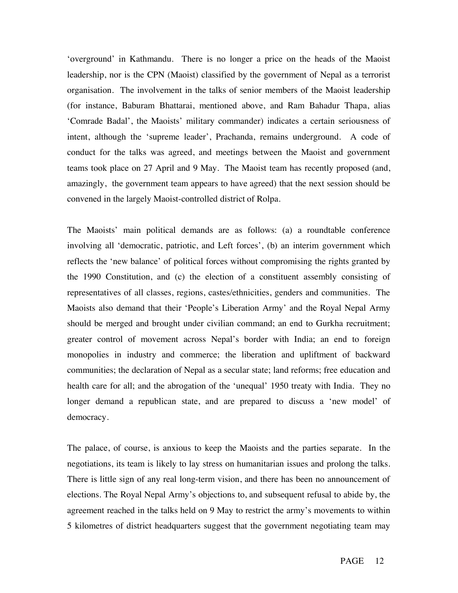'overground' in Kathmandu. There is no longer a price on the heads of the Maoist leadership, nor is the CPN (Maoist) classified by the government of Nepal as a terrorist organisation. The involvement in the talks of senior members of the Maoist leadership (for instance, Baburam Bhattarai, mentioned above, and Ram Bahadur Thapa, alias 'Comrade Badal', the Maoists' military commander) indicates a certain seriousness of intent, although the 'supreme leader', Prachanda, remains underground. A code of conduct for the talks was agreed, and meetings between the Maoist and government teams took place on 27 April and 9 May. The Maoist team has recently proposed (and, amazingly, the government team appears to have agreed) that the next session should be convened in the largely Maoist-controlled district of Rolpa.

The Maoists' main political demands are as follows: (a) a roundtable conference involving all 'democratic, patriotic, and Left forces', (b) an interim government which reflects the 'new balance' of political forces without compromising the rights granted by the 1990 Constitution, and (c) the election of a constituent assembly consisting of representatives of all classes, regions, castes/ethnicities, genders and communities. The Maoists also demand that their 'People's Liberation Army' and the Royal Nepal Army should be merged and brought under civilian command; an end to Gurkha recruitment; greater control of movement across Nepal's border with India; an end to foreign monopolies in industry and commerce; the liberation and upliftment of backward communities; the declaration of Nepal as a secular state; land reforms; free education and health care for all; and the abrogation of the 'unequal' 1950 treaty with India. They no longer demand a republican state, and are prepared to discuss a 'new model' of democracy.

The palace, of course, is anxious to keep the Maoists and the parties separate. In the negotiations, its team is likely to lay stress on humanitarian issues and prolong the talks. There is little sign of any real long-term vision, and there has been no announcement of elections. The Royal Nepal Army's objections to, and subsequent refusal to abide by, the agreement reached in the talks held on 9 May to restrict the army's movements to within 5 kilometres of district headquarters suggest that the government negotiating team may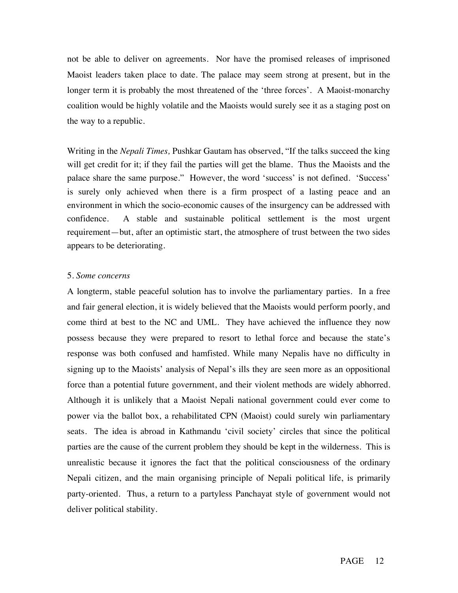not be able to deliver on agreements. Nor have the promised releases of imprisoned Maoist leaders taken place to date. The palace may seem strong at present, but in the longer term it is probably the most threatened of the 'three forces'. A Maoist-monarchy coalition would be highly volatile and the Maoists would surely see it as a staging post on the way to a republic.

Writing in the *Nepali Times,* Pushkar Gautam has observed, "If the talks succeed the king will get credit for it; if they fail the parties will get the blame. Thus the Maoists and the palace share the same purpose." However, the word 'success' is not defined. 'Success' is surely only achieved when there is a firm prospect of a lasting peace and an environment in which the socio-economic causes of the insurgency can be addressed with confidence. A stable and sustainable political settlement is the most urgent requirement—but, after an optimistic start, the atmosphere of trust between the two sides appears to be deteriorating.

### 5. *Some concerns*

A longterm, stable peaceful solution has to involve the parliamentary parties. In a free and fair general election, it is widely believed that the Maoists would perform poorly, and come third at best to the NC and UML. They have achieved the influence they now possess because they were prepared to resort to lethal force and because the state's response was both confused and hamfisted. While many Nepalis have no difficulty in signing up to the Maoists' analysis of Nepal's ills they are seen more as an oppositional force than a potential future government, and their violent methods are widely abhorred. Although it is unlikely that a Maoist Nepali national government could ever come to power via the ballot box, a rehabilitated CPN (Maoist) could surely win parliamentary seats. The idea is abroad in Kathmandu 'civil society' circles that since the political parties are the cause of the current problem they should be kept in the wilderness. This is unrealistic because it ignores the fact that the political consciousness of the ordinary Nepali citizen, and the main organising principle of Nepali political life, is primarily party-oriented. Thus, a return to a partyless Panchayat style of government would not deliver political stability.